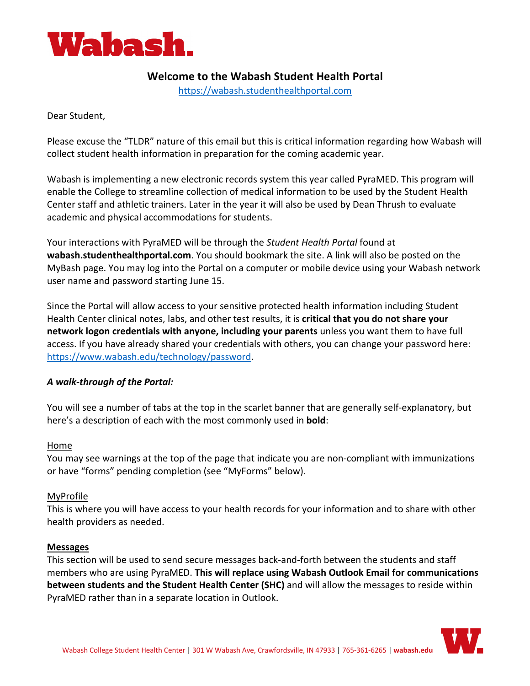

# **Welcome to the Wabash Student Health Portal**

<https://wabash.studenthealthportal.com>

Dear Student,

Please excuse the "TLDR" nature of this email but this is critical information regarding how Wabash will collect student health information in preparation for the coming academic year.

Wabash is implementing a new electronic records system this year called PyraMED. This program will enable the College to streamline collection of medical information to be used by the Student Health Center staff and athletic trainers. Later in the year it will also be used by Dean Thrush to evaluate academic and physical accommodations for students.

Your interactions with PyraMED will be through the *Student Health Portal* found at **wabash.studenthealthportal.com**. You should bookmark the site. A link will also be posted on the MyBash page. You may log into the Portal on a computer or mobile device using your Wabash network user name and password starting June 15.

Since the Portal will allow access to your sensitive protected health information including Student Health Center clinical notes, labs, and other test results, it is **critical that you do not share your network logon credentials with anyone, including your parents** unless you want them to have full access. If you have already shared your credentials with others, you can change your password here: [https://www.wabash.edu/technology/password.](https://www.wabash.edu/technology/password)

# *A walk-through of the Portal:*

You will see a number of tabs at the top in the scarlet banner that are generally self-explanatory, but here's a description of each with the most commonly used in **bold**:

# Home

You may see warnings at the top of the page that indicate you are non-compliant with immunizations or have "forms" pending completion (see "MyForms" below).

# MyProfile

This is where you will have access to your health records for your information and to share with other health providers as needed.

#### **Messages**

This section will be used to send secure messages back-and-forth between the students and staff members who are using PyraMED. **This will replace using Wabash Outlook Email for communications between students and the Student Health Center (SHC)** and will allow the messages to reside within PyraMED rather than in a separate location in Outlook.